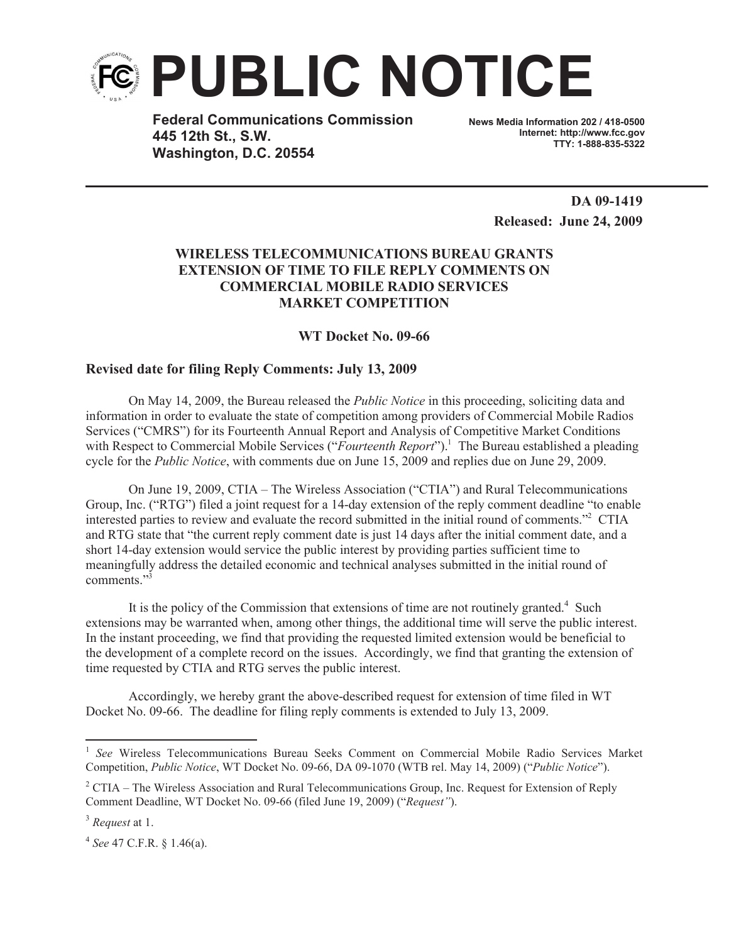

**Federal Communications Commission 445 12th St., S.W. Washington, D.C. 20554**

**News Media Information 202 / 418-0500 Internet: http://www.fcc.gov TTY: 1-888-835-5322**

> **DA 09-1419 Released: June 24, 2009**

## **WIRELESS TELECOMMUNICATIONS BUREAU GRANTS EXTENSION OF TIME TO FILE REPLY COMMENTS ON COMMERCIAL MOBILE RADIO SERVICES MARKET COMPETITION**

**WT Docket No. 09-66**

## **Revised date for filing Reply Comments: July 13, 2009**

On May 14, 2009, the Bureau released the *Public Notice* in this proceeding, soliciting data and information in order to evaluate the state of competition among providers of Commercial Mobile Radios Services ("CMRS") for its Fourteenth Annual Report and Analysis of Competitive Market Conditions with Respect to Commercial Mobile Services ("*Fourteenth Report*").<sup>1</sup> The Bureau established a pleading cycle for the *Public Notice*, with comments due on June 15, 2009 and replies due on June 29, 2009.

On June 19, 2009, CTIA – The Wireless Association ("CTIA") and Rural Telecommunications Group, Inc. ("RTG") filed a joint request for a 14-day extension of the reply comment deadline "to enable interested parties to review and evaluate the record submitted in the initial round of comments."<sup>2</sup> CTIA and RTG state that "the current reply comment date is just 14 days after the initial comment date, and a short 14-day extension would service the public interest by providing parties sufficient time to meaningfully address the detailed economic and technical analyses submitted in the initial round of comments<sup>"3</sup>

It is the policy of the Commission that extensions of time are not routinely granted.<sup>4</sup> Such extensions may be warranted when, among other things, the additional time will serve the public interest. In the instant proceeding, we find that providing the requested limited extension would be beneficial to the development of a complete record on the issues. Accordingly, we find that granting the extension of time requested by CTIA and RTG serves the public interest.

Accordingly, we hereby grant the above-described request for extension of time filed in WT Docket No. 09-66. The deadline for filing reply comments is extended to July 13, 2009.

<sup>&</sup>lt;sup>1</sup> See Wireless Telecommunications Bureau Seeks Comment on Commercial Mobile Radio Services Market Competition, *Public Notice*, WT Docket No. 09-66, DA 09-1070 (WTB rel. May 14, 2009) ("*Public Notice*").

<sup>&</sup>lt;sup>2</sup> CTIA – The Wireless Association and Rural Telecommunications Group, Inc. Request for Extension of Reply Comment Deadline, WT Docket No. 09-66 (filed June 19, 2009) ("*Request"*).

<sup>3</sup> *Request* at 1.

<sup>4</sup> *See* 47 C.F.R. § 1.46(a).